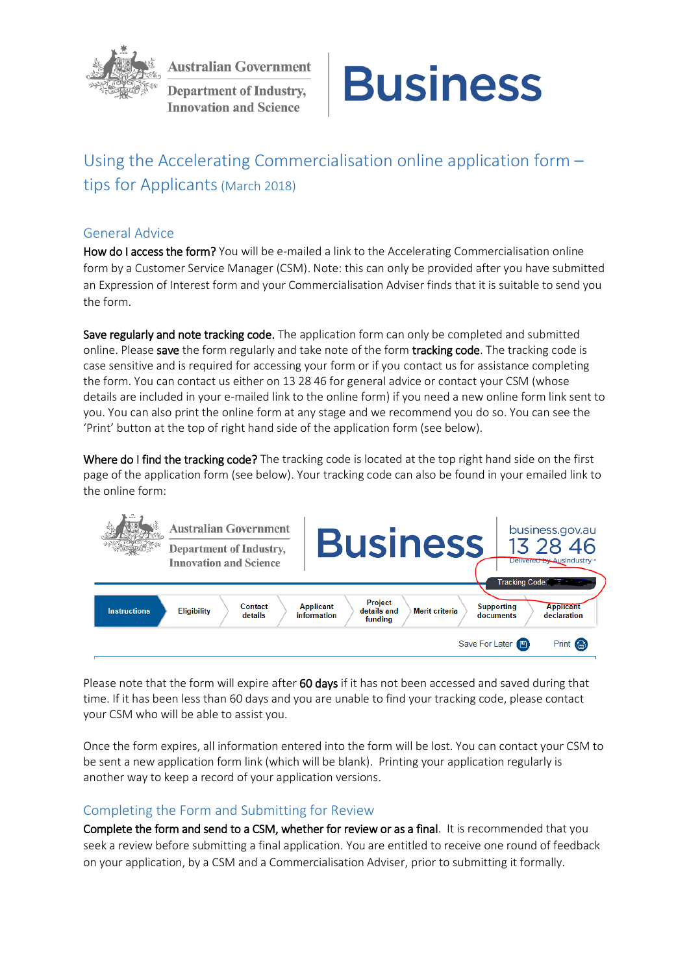

**Australian Government** 

**Department of Industry, Innovation and Science** 



# Using the Accelerating Commercialisation online application form – tips for Applicants (March 2018)

### General Advice

How do I access the form? You will be e-mailed a link to the Accelerating Commercialisation online form by a Customer Service Manager (CSM). Note: this can only be provided after you have submitted an Expression of Interest form and your Commercialisation Adviser finds that it is suitable to send you the form.

Save regularly and note tracking code. The application form can only be completed and submitted online. Please save the form regularly and take note of the form tracking code. The tracking code is case sensitive and is required for accessing your form or if you contact us for assistance completing the form. You can contact us either on 13 28 46 for general advice or contact your CSM (whose details are included in your e-mailed link to the online form) if you need a new online form link sent to you. You can also print the online form at any stage and we recommend you do so. You can see the 'Print' button at the top of right hand side of the application form (see below).

Where do I find the tracking code? The tracking code is located at the top right hand side on the first page of the application form (see below). Your tracking code can also be found in your emailed link to the online form:



Please note that the form will expire after 60 days if it has not been accessed and saved during that time. If it has been less than 60 days and you are unable to find your tracking code, please contact your CSM who will be able to assist you.

Once the form expires, all information entered into the form will be lost. You can contact your CSM to be sent a new application form link (which will be blank). Printing your application regularly is another way to keep a record of your application versions.

# Completing the Form and Submitting for Review

Complete the form and send to a CSM, whether for review or as a final. It is recommended that you seek a review before submitting a final application. You are entitled to receive one round of feedback on your application, by a CSM and a Commercialisation Adviser, prior to submitting it formally.